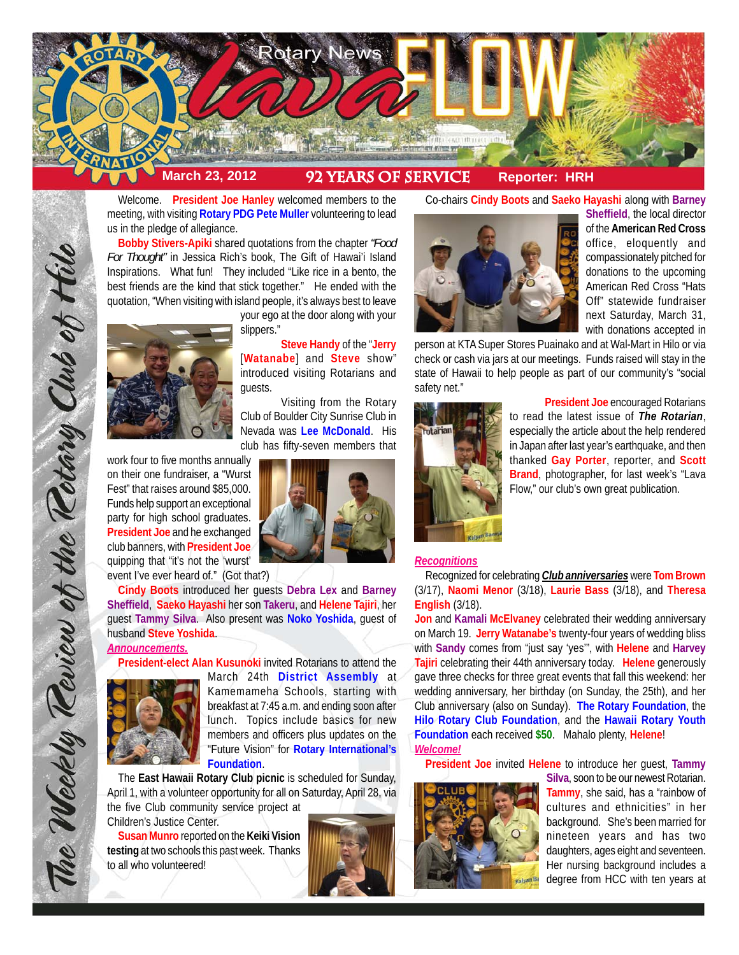

Welcome. **President Joe Hanley** welcomed members to the meeting, with visiting **Rotary PDG Pete Muller** volunteering to lead us in the pledge of allegiance.

**Bobby Stivers-Apiki** shared quotations from the chapter *"Food For Thought"* in Jessica Rich's book, The Gift of Hawai'i Island Inspirations. What fun! They included "Like rice in a bento, the best friends are the kind that stick together." He ended with the quotation, "When visiting with island people, it's always best to leave



your ego at the door along with your slippers."

**Steve Handy** of the "**Jerry** [**Watanabe**] and **Steve** show" introduced visiting Rotarians and guests.

Visiting from the Rotary Club of Boulder City Sunrise Club in Nevada was **Lee McDonald**. His club has fifty-seven members that

work four to five months annually on their one fundraiser, a "Wurst Fest" that raises around \$85,000. Funds help support an exceptional party for high school graduates. **President Joe** and he exchanged club banners, with **President Joe** quipping that "it's not the 'wurst' event I've ever heard of." (Got that?)

**Cindy Boots** introduced her guests **Debra Lex** and **Barney Sheffield**, **Saeko Hayashi** her son **Takeru**, and **Helene Tajiri**, her guest **Tammy Silva**. Also present was **Noko Yoshida**, guest of husband **Steve Yoshida**.

# *Announcements.*

The Weekly Teview of the Tetary Club of Hilo

**President-elect Alan Kusunoki** invited Rotarians to attend the



March 24th **District Assembly** at Kamemameha Schools, starting with breakfast at 7:45 a.m. and ending soon after lunch. Topics include basics for new members and officers plus updates on the "Future Vision" for **Rotary International's Foundation**.

The **East Hawaii Rotary Club picnic** is scheduled for Sunday, April 1, with a volunteer opportunity for all on Saturday, April 28, via the five Club community service project at Children's Justice Center.

**Susan Munro** reported on the **Keiki Vision testing** at two schools this past week. Thanks to all who volunteered!





**Sheffield**, the local director of the **American Red Cross** office, eloquently and compassionately pitched for donations to the upcoming American Red Cross "Hats Off" statewide fundraiser next Saturday, March 31, with donations accepted in

person at KTA Super Stores Puainako and at Wal-Mart in Hilo or via check or cash via jars at our meetings. Funds raised will stay in the state of Hawaii to help people as part of our community's "social safety net."



**President Joe** encouraged Rotarians to read the latest issue of *The Rotarian*, especially the article about the help rendered in Japan after last year's earthquake, and then thanked **Gay Porter**, reporter, and **Scott Brand**, photographer, for last week's "Lava Flow," our club's own great publication.

#### *Recognitions*

Recognized for celebrating *Club anniversaries* were **Tom Brown** (3/17), **Naomi Menor** (3/18), **Laurie Bass** (3/18), and **Theresa English** (3/18).

**Jon** and **Kamali McElvaney** celebrated their wedding anniversary on March 19. **Jerry Watanabe's** twenty-four years of wedding bliss with **Sandy** comes from "just say 'yes'", with **Helene** and **Harvey Tajiri** celebrating their 44th anniversary today. **Helene** generously gave three checks for three great events that fall this weekend: her wedding anniversary, her birthday (on Sunday, the 25th), and her Club anniversary (also on Sunday). **The Rotary Foundation**, the **Hilo Rotary Club Foundation**, and the **Hawaii Rotary Youth Foundation** each received **\$50**. Mahalo plenty, **Helene**! *Welcome!*

**President Joe** invited **Helene** to introduce her guest, **Tammy**



**Silva**, soon to be our newest Rotarian. **Tammy**, she said, has a "rainbow of cultures and ethnicities" in her background. She's been married for nineteen years and has two daughters, ages eight and seventeen. Her nursing background includes a degree from HCC with ten years at